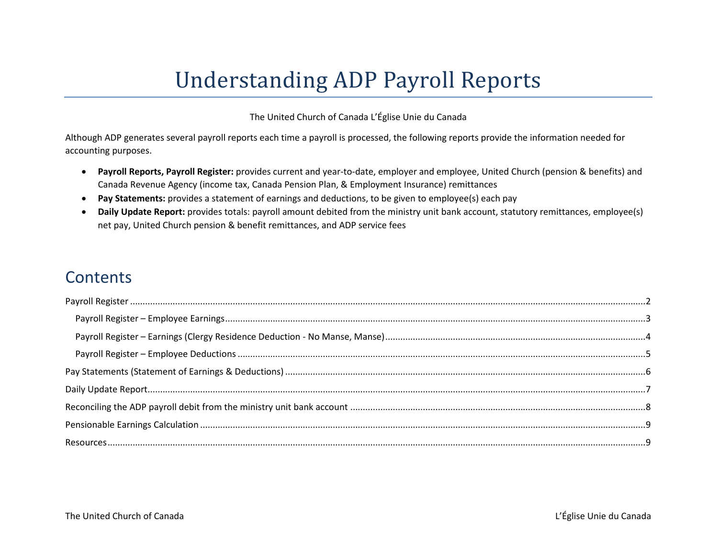# Understanding ADP Payroll Reports

The United Church of Canada L'Église Unie du Canada

Although ADP generates several payroll reports each time a payroll is processed, the following reports provide the information needed for accounting purposes.

- **Payroll Reports, Payroll Register:** provides current and year-to-date, employer and employee, United Church (pension & benefits) and Canada Revenue Agency (income tax, Canada Pension Plan, & Employment Insurance) remittances
- **Pay Statements:** provides a statement of earnings and deductions, to be given to employee(s) each pay
- **Daily Update Report:** provides totals: payroll amount debited from the ministry unit bank account, statutory remittances, employee(s) net pay, United Church pension & benefit remittances, and ADP service fees

# **Contents**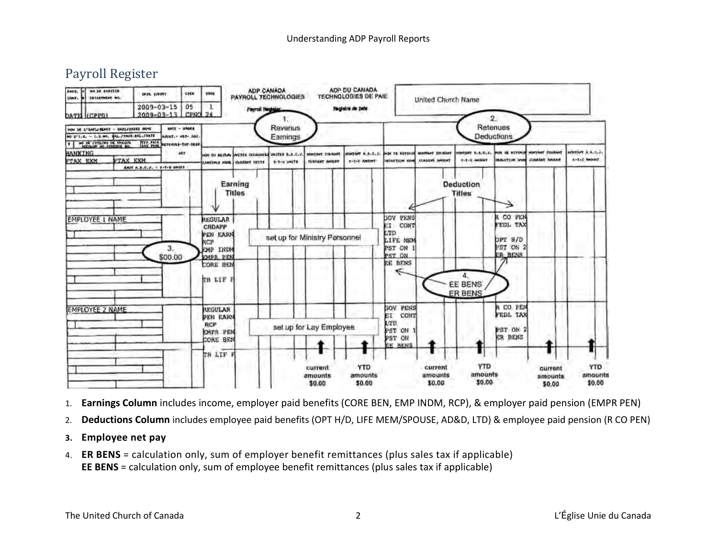## <span id="page-1-0"></span>Payroll Register



- 1. **Earnings Column** includes income, employer paid benefits (CORE BEN, EMP INDM, RCP), & employer paid pension (EMPR PEN)
- 2. **Deductions Column** includes employee paid benefits (OPT H/D, LIFE MEM/SPOUSE, AD&D, LTD) & employee paid pension (R CO PEN)
- **3. Employee net pay**
- 4. **ER BENS** = calculation only, sum of employer benefit remittances (plus sales tax if applicable) **EE BENS** = calculation only, sum of employee benefit remittances (plus sales tax if applicable)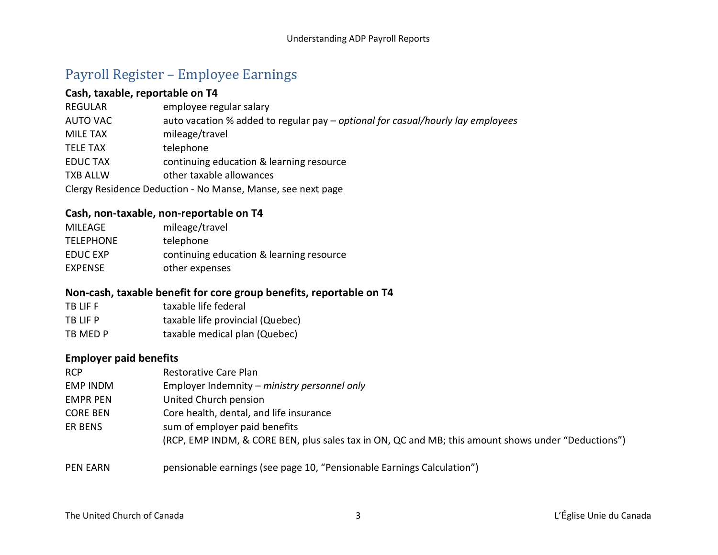## <span id="page-2-0"></span>Payroll Register – Employee Earnings

#### **Cash, taxable, reportable on T4**

| <b>REGULAR</b>  | employee regular salary                                                         |
|-----------------|---------------------------------------------------------------------------------|
| <b>AUTO VAC</b> | auto vacation % added to regular pay – optional for casual/hourly lay employees |
| <b>MILE TAX</b> | mileage/travel                                                                  |
| <b>TELE TAX</b> | telephone                                                                       |
| <b>EDUCTAX</b>  | continuing education & learning resource                                        |
| <b>TXB ALLW</b> | other taxable allowances                                                        |
|                 | Clergy Residence Deduction - No Manse, Manse, see next page                     |

#### **Cash, non-taxable, non-reportable on T4**

| MILEAGE          | mileage/travel                           |
|------------------|------------------------------------------|
| <b>TELEPHONE</b> | telephone                                |
| EDUC EXP         | continuing education & learning resource |
| <b>EXPENSE</b>   | other expenses                           |

#### **Non-cash, taxable benefit for core group benefits, reportable on T4**

| TB LIF F | taxable life federal             |
|----------|----------------------------------|
| TB LIF P | taxable life provincial (Quebec) |
| TB MED P | taxable medical plan (Quebec)    |

#### **Employer paid benefits**

| <b>RCP</b>      | Restorative Care Plan                                                                              |
|-----------------|----------------------------------------------------------------------------------------------------|
| <b>EMP INDM</b> | Employer Indemnity – ministry personnel only                                                       |
| <b>EMPR PEN</b> | United Church pension                                                                              |
| <b>CORE BEN</b> | Core health, dental, and life insurance                                                            |
| <b>ER BENS</b>  | sum of employer paid benefits                                                                      |
|                 | (RCP, EMP INDM, & CORE BEN, plus sales tax in ON, QC and MB; this amount shows under "Deductions") |
|                 |                                                                                                    |

PEN EARN pensionable earnings (see page 10, "Pensionable Earnings Calculation")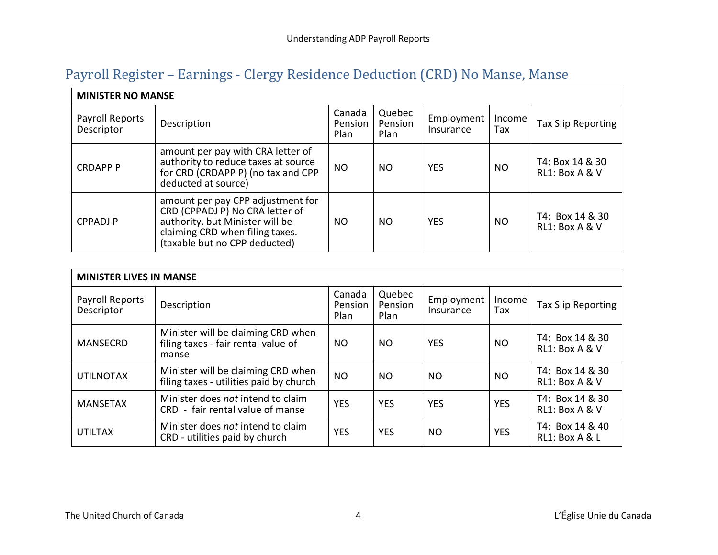## <span id="page-3-0"></span>Payroll Register – Earnings - Clergy Residence Deduction (CRD) No Manse, Manse

| <b>MINISTER NO MANSE</b>      |                                                                                                                                                                             |                           |                           |                         |               |                                   |
|-------------------------------|-----------------------------------------------------------------------------------------------------------------------------------------------------------------------------|---------------------------|---------------------------|-------------------------|---------------|-----------------------------------|
| Payroll Reports<br>Descriptor | Description                                                                                                                                                                 | Canada<br>Pension<br>Plan | Quebec<br>Pension<br>Plan | Employment<br>Insurance | Income<br>Tax | Tax Slip Reporting                |
| <b>CRDAPP P</b>               | amount per pay with CRA letter of<br>authority to reduce taxes at source<br>for CRD (CRDAPP P) (no tax and CPP<br>deducted at source)                                       | <b>NO</b>                 | <b>NO</b>                 | YES                     | <b>NO</b>     | T4: Box 14 & 30<br>RL1: Box A & V |
| <b>CPPADJP</b>                | amount per pay CPP adjustment for<br>CRD (CPPADJ P) No CRA letter of<br>authority, but Minister will be<br>claiming CRD when filing taxes.<br>(taxable but no CPP deducted) | <b>NO</b>                 | <b>NO</b>                 | YES                     | <b>NO</b>     | T4: Box 14 & 30<br>RL1: Box A & V |

| <b>MINISTER LIVES IN MANSE</b> |                                                                                    |                           |                           |                         |               |                                   |
|--------------------------------|------------------------------------------------------------------------------------|---------------------------|---------------------------|-------------------------|---------------|-----------------------------------|
| Payroll Reports<br>Descriptor  | Description                                                                        | Canada<br>Pension<br>Plan | Quebec<br>Pension<br>Plan | Employment<br>Insurance | Income<br>Tax | Tax Slip Reporting                |
| <b>MANSECRD</b>                | Minister will be claiming CRD when<br>filing taxes - fair rental value of<br>manse | <b>NO</b>                 | NO                        | <b>YES</b>              | NO.           | T4: Box 14 & 30<br>RL1: Box A & V |
| <b>UTILNOTAX</b>               | Minister will be claiming CRD when<br>filing taxes - utilities paid by church      | <b>NO</b>                 | NO                        | NO                      | NO.           | T4: Box 14 & 30<br>RL1: Box A & V |
| <b>MANSETAX</b>                | Minister does not intend to claim<br>CRD - fair rental value of manse              | <b>YES</b>                | <b>YES</b>                | <b>YES</b>              | <b>YES</b>    | T4: Box 14 & 30<br>RL1: Box A & V |
| <b>UTILTAX</b>                 | Minister does not intend to claim<br>CRD - utilities paid by church                | <b>YES</b>                | <b>YES</b>                | NO.                     | <b>YES</b>    | T4: Box 14 & 40<br>RL1: Box A & L |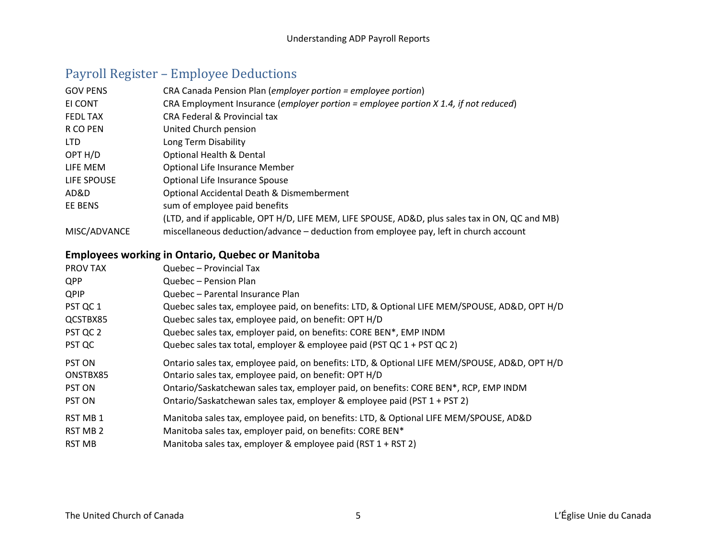## <span id="page-4-0"></span>Payroll Register – Employee Deductions

| <b>GOV PENS</b> | CRA Canada Pension Plan (employer portion = employee portion)                                   |
|-----------------|-------------------------------------------------------------------------------------------------|
| EI CONT         | CRA Employment Insurance (employer portion = employee portion $X$ 1.4, if not reduced)          |
| <b>FEDL TAX</b> | <b>CRA Federal &amp; Provincial tax</b>                                                         |
| R CO PEN        | United Church pension                                                                           |
| <b>LTD</b>      | Long Term Disability                                                                            |
| OPT H/D         | <b>Optional Health &amp; Dental</b>                                                             |
| LIFE MEM        | Optional Life Insurance Member                                                                  |
| LIFE SPOUSE     | Optional Life Insurance Spouse                                                                  |
| AD&D            | Optional Accidental Death & Dismemberment                                                       |
| EE BENS         | sum of employee paid benefits                                                                   |
|                 | (LTD, and if applicable, OPT H/D, LIFE MEM, LIFE SPOUSE, AD&D, plus sales tax in ON, QC and MB) |
| MISC/ADVANCE    | miscellaneous deduction/advance - deduction from employee pay, left in church account           |

### **Employees working in Ontario, Quebec or Manitoba**

| <b>PROV TAX</b> | Quebec - Provincial Tax                                                                       |
|-----------------|-----------------------------------------------------------------------------------------------|
| <b>QPP</b>      | Quebec - Pension Plan                                                                         |
| <b>QPIP</b>     | Quebec - Parental Insurance Plan                                                              |
| PST QC 1        | Quebec sales tax, employee paid, on benefits: LTD, & Optional LIFE MEM/SPOUSE, AD&D, OPT H/D  |
| QCSTBX85        | Quebec sales tax, employee paid, on benefit: OPT H/D                                          |
| PST QC 2        | Quebec sales tax, employer paid, on benefits: CORE BEN*, EMP INDM                             |
| PST QC          | Quebec sales tax total, employer & employee paid (PST QC 1 + PST QC 2)                        |
|                 |                                                                                               |
| <b>PST ON</b>   | Ontario sales tax, employee paid, on benefits: LTD, & Optional LIFE MEM/SPOUSE, AD&D, OPT H/D |
| ONSTBX85        | Ontario sales tax, employee paid, on benefit: OPT H/D                                         |
| <b>PST ON</b>   | Ontario/Saskatchewan sales tax, employer paid, on benefits: CORE BEN*, RCP, EMP INDM          |
| <b>PST ON</b>   | Ontario/Saskatchewan sales tax, employer & employee paid (PST 1 + PST 2)                      |
| RST MB 1        | Manitoba sales tax, employee paid, on benefits: LTD, & Optional LIFE MEM/SPOUSE, AD&D         |
| <b>RST MB 2</b> | Manitoba sales tax, employer paid, on benefits: CORE BEN*                                     |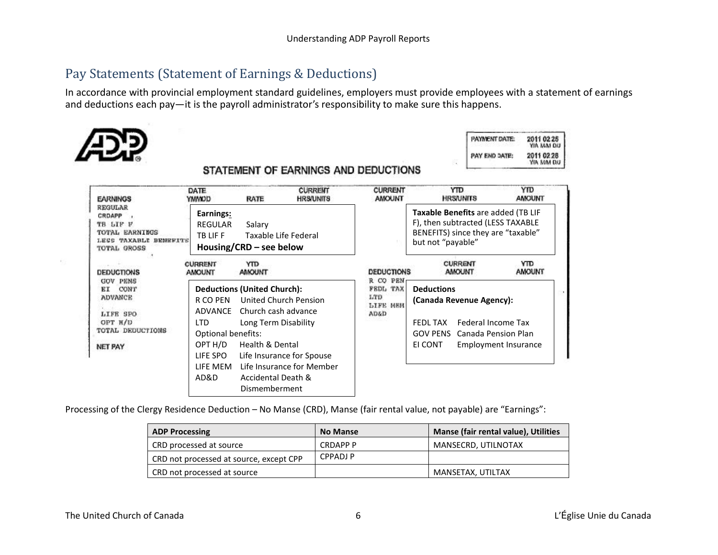## <span id="page-5-0"></span>Pay Statements (Statement of Earnings & Deductions)

In accordance with provincial employment standard guidelines, employers must provide employees with a statement of earnings and deductions each pay—it is the payroll administrator's responsibility to make sure this happens.



| PAYMENT DATE: | 2011 02 25<br>YIA MAN DIJ |
|---------------|---------------------------|
| PAY END DATE: | 2011 02:28                |

#### STATEMENT OF EARNINGS AND DEDUCTIONS

| <b>EARNINGS</b>                                                                                | DATE<br><b>UGANY</b>                                                     | RATE                                                                                                            | <b>CURRENT</b><br><b>HRS/UNITS</b>                                              | <b>CURRENT</b><br><b>AMOUNT</b>                        | <b>YTD</b><br>HRS/UNITS                                                                                                                   | YTD<br><b>AMOUNT</b>                                              |
|------------------------------------------------------------------------------------------------|--------------------------------------------------------------------------|-----------------------------------------------------------------------------------------------------------------|---------------------------------------------------------------------------------|--------------------------------------------------------|-------------------------------------------------------------------------------------------------------------------------------------------|-------------------------------------------------------------------|
| REGULAR<br>CRDAPP<br>TB LIF F<br>TOTAL EARNINGS<br><b>TAXABLE BENEFITE</b><br>TOTAL GROSS      | Earnings:<br><b>REGULAR</b><br>TB LIF F                                  | Salary<br>Housing/CRD – see below                                                                               | Taxable Life Federal                                                            |                                                        | <b>Taxable Benefits are added (TB LIF</b><br>F), then subtracted (LESS TAXABLE<br>BENEFITS) since they are "taxable"<br>but not "payable" |                                                                   |
| DEDUCTIONS                                                                                     | <b>CURRENT</b><br><b>AMOUNT</b>                                          | YТD<br><b>AMOUNT</b>                                                                                            |                                                                                 | <b>DEDUCTIONS</b>                                      | <b>CURRENT</b><br><b>AMOUNT</b>                                                                                                           | <b>YTD</b><br><b>AMOUNT</b>                                       |
| <b>GOV PENS</b><br>CONT<br>ЕT<br>ADVANCE<br>LIFE SPO<br>OPT H/D<br>TOTAL DEDUCTIONS<br>NET PAY | R CO PEN<br>ADVANCE<br>LTD.<br>Optional benefits:<br>OPT H/D<br>LIFE SPO | <b>Deductions (United Church):</b><br>Church cash advance<br>Long Term Disability<br><b>Health &amp; Dental</b> | United Church Pension<br>Life Insurance for Spouse<br>Life Insurance for Member | R CO PEN<br>FEDL TAX<br>LTD<br><b>LIFE MEM</b><br>AD&D | <b>Deductions</b><br>(Canada Revenue Agency):<br><b>FEDL TAX</b><br><b>GOV PENS</b><br>EI CONT                                            | Federal Income Tax<br>Canada Pension Plan<br>Employment Insurance |
|                                                                                                | LIFE MEM<br>AD&D                                                         | Accidental Death &<br>Dismemberment                                                                             |                                                                                 |                                                        |                                                                                                                                           |                                                                   |

Processing of the Clergy Residence Deduction – No Manse (CRD), Manse (fair rental value, not payable) are "Earnings":

| <b>ADP Processing</b>                   | <b>No Manse</b> | Manse (fair rental value), Utilities |
|-----------------------------------------|-----------------|--------------------------------------|
| CRD processed at source                 | CRDAPP P        | MANSECRD, UTILNOTAX                  |
| CRD not processed at source, except CPP | CPPADJ P        |                                      |
| CRD not processed at source             |                 | MANSETAX, UTILTAX                    |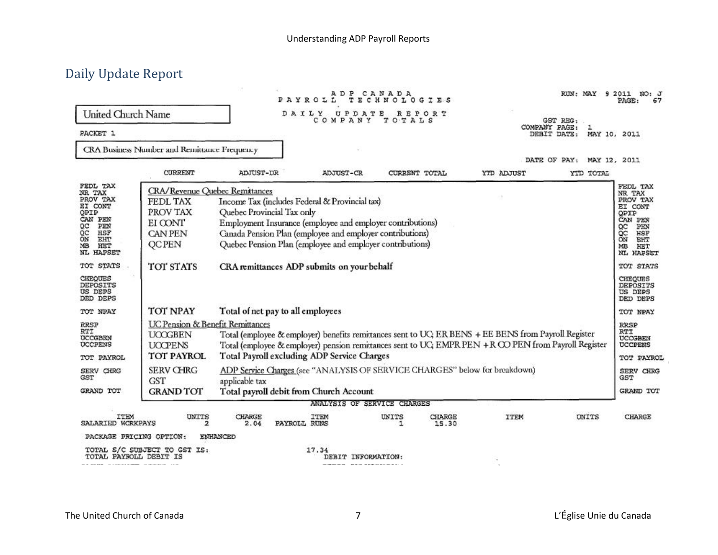## <span id="page-6-0"></span>Daily Update Report

|                                                                                                                               |                                                                                                                                                                                                                                                                                                                                                               | A D P CA N A D A<br><b>TECHNOLOG</b><br>PAYROLL<br>I E S                                                                                                                                                                                                                          |                             |            |                 |             | RUN: MAY 9 2011 NO: J<br>PAGE :   |                                                                                                                                      |  |
|-------------------------------------------------------------------------------------------------------------------------------|---------------------------------------------------------------------------------------------------------------------------------------------------------------------------------------------------------------------------------------------------------------------------------------------------------------------------------------------------------------|-----------------------------------------------------------------------------------------------------------------------------------------------------------------------------------------------------------------------------------------------------------------------------------|-----------------------------|------------|-----------------|-------------|-----------------------------------|--------------------------------------------------------------------------------------------------------------------------------------|--|
| United Church Name                                                                                                            |                                                                                                                                                                                                                                                                                                                                                               |                                                                                                                                                                                                                                                                                   | DAILY UPDATE<br>COMPANY     | TOTALS     | REPORT          |             | GST REG:                          |                                                                                                                                      |  |
| PACKET 1                                                                                                                      |                                                                                                                                                                                                                                                                                                                                                               |                                                                                                                                                                                                                                                                                   |                             |            |                 |             | COMPANY PAGE:<br>ı<br>DEBIT DATE: | MAY 10, 2011                                                                                                                         |  |
|                                                                                                                               | CRA Business Number and Remittance Frequency                                                                                                                                                                                                                                                                                                                  |                                                                                                                                                                                                                                                                                   |                             |            |                 |             |                                   |                                                                                                                                      |  |
|                                                                                                                               |                                                                                                                                                                                                                                                                                                                                                               |                                                                                                                                                                                                                                                                                   |                             |            |                 |             | DATE OF PAY: MAY 12, 2011         |                                                                                                                                      |  |
| FEDL TAX<br>NR TAX<br>PROV TAX<br>EI CONT<br>OPIP<br>CAN PEN<br>QC<br>PEN<br>QC<br>HSF<br>ŌN<br>EHT<br>MB<br>HET<br>NL HAPSET | CURRENT<br><b>CRA/Revenue Quebec Remitances</b><br><b>FEDL TAX</b><br>PROV TAX<br>EI CONT<br><b>CAN PEN</b><br><b>QCPEN</b>                                                                                                                                                                                                                                   | ADJUST-DR<br>Income Tax (includes Federal & Provincial tax)<br>Quebec Provincial Tax only<br>Employment Insurance (employee and employer contributions)<br>Canada Pension Plan (employee and employer contributions)<br>Quebec Pension Plan (employee and employer contributions) | ADJUST-CR                   |            | CURRENT TOTAL   | YTD ADJUST  | YTD TOTAL                         | FEDL TAX<br>NR TAX<br>PROV TAX<br>EI CONT<br>OPIP<br>CAN PEN<br>PEN<br>QC<br>QC<br><b>HSF</b><br>ÖN<br>EHT<br>HET<br>МB<br>NL HAPSET |  |
| TOT STATS                                                                                                                     | TOT STATS                                                                                                                                                                                                                                                                                                                                                     | CRA remittances ADP submits on your behalf                                                                                                                                                                                                                                        |                             |            |                 |             |                                   |                                                                                                                                      |  |
| CHEQUES<br>DEPOSITS<br>US DEPS<br>DED DEPS                                                                                    |                                                                                                                                                                                                                                                                                                                                                               |                                                                                                                                                                                                                                                                                   |                             |            |                 |             |                                   | <b>CHEQUES</b><br>DEPOSITS<br>US DEPS<br>DED DEPS                                                                                    |  |
| TOT NPAY                                                                                                                      | TOT NPAY                                                                                                                                                                                                                                                                                                                                                      | Total of net pay to all employees                                                                                                                                                                                                                                                 |                             |            |                 |             |                                   | TOT NPAY                                                                                                                             |  |
| RRSP<br>RTI<br>UCCGBEN<br>UCCPENS<br>TOT PAYROL                                                                               | <b>UC Pension &amp; Benefit Remittances</b><br>Total (employee & employer) benefits remittances sent to UC; ER BENS + EE BENS from Payroll Register<br><b>UOOGBEN</b><br>Total (employee & employer) pension remittances sent to UC; EMPR PEN + R CO PEN from Payroll Register<br><b>UCCPENS</b><br>Total Payroll excluding ADP Service Charges<br>TOT PAYROL |                                                                                                                                                                                                                                                                                   |                             |            |                 |             |                                   |                                                                                                                                      |  |
| SERV CHRG<br>GST                                                                                                              | ADP Service Charges (see "ANALYSIS OF SERVICE CHARGES" below for breakdown)<br><b>SERV CHRG</b><br>GST<br>applicable tax                                                                                                                                                                                                                                      |                                                                                                                                                                                                                                                                                   |                             |            |                 |             |                                   |                                                                                                                                      |  |
| GRAND TOT                                                                                                                     | <b>GRAND TOT</b>                                                                                                                                                                                                                                                                                                                                              | Total payroll debit from Church Account                                                                                                                                                                                                                                           |                             |            |                 |             |                                   | GRAND TOT                                                                                                                            |  |
|                                                                                                                               |                                                                                                                                                                                                                                                                                                                                                               |                                                                                                                                                                                                                                                                                   | ANALYSIS OF SERVICE CHARGES |            |                 |             |                                   |                                                                                                                                      |  |
| ITEM<br>SALARIED WORKPAYS                                                                                                     | <b>UNITS</b><br>2                                                                                                                                                                                                                                                                                                                                             | <b>CHARGE</b><br>2.04                                                                                                                                                                                                                                                             | ITEM<br>PAYROLL RUNS        | UNITS<br>1 | CHARGE<br>15.30 | <b>ITEM</b> | UNITS                             | CHARGE                                                                                                                               |  |
| PACKAGE PRICING OPTION:                                                                                                       |                                                                                                                                                                                                                                                                                                                                                               | ENHANCED                                                                                                                                                                                                                                                                          |                             |            |                 |             |                                   |                                                                                                                                      |  |
| TOTAL PAYROLL DEBIT IS                                                                                                        | TOTAL S/C SUBJECT TO GST IS:                                                                                                                                                                                                                                                                                                                                  |                                                                                                                                                                                                                                                                                   | 17.34<br>DEBIT INFORMATION: |            |                 |             |                                   |                                                                                                                                      |  |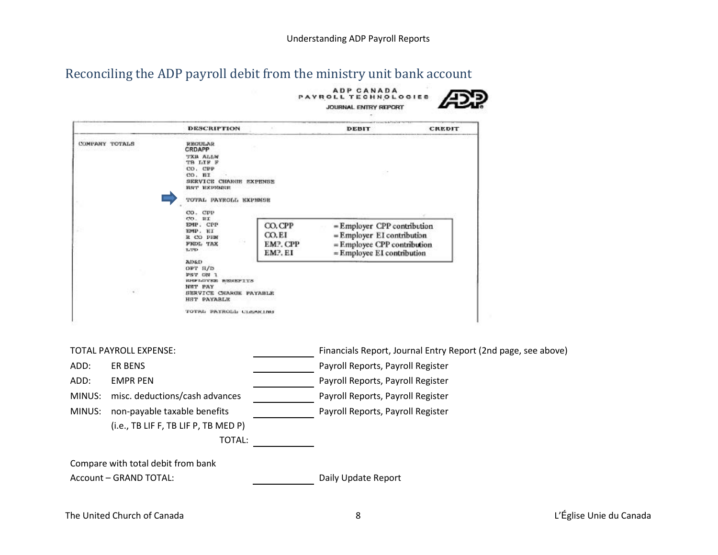# <span id="page-7-0"></span>Reconciling the ADP payroll debit from the ministry unit bank account

|                        |                                      |                                                                                                                        |                                        | ADP CANADA<br><b>PAYROLL TECHNOLOGIES</b><br>JOURNAL ENTRY REPORT                                                      |        |                                                               |  |
|------------------------|--------------------------------------|------------------------------------------------------------------------------------------------------------------------|----------------------------------------|------------------------------------------------------------------------------------------------------------------------|--------|---------------------------------------------------------------|--|
|                        |                                      | <b>DESCRIPTION</b>                                                                                                     |                                        | DEBIT                                                                                                                  | CREDIT |                                                               |  |
|                        | COMPANY TOTALS                       | REGULAR<br>CRDAPP<br><b>TXB ALLW</b><br>TB LIF F<br>CO. CPP<br>CO. BI<br>SERVICE CHARGE EXPENSE<br><b>HST EXPRESSE</b> |                                        |                                                                                                                        |        |                                                               |  |
|                        |                                      | TOTAL PAYROLL EXPIRED                                                                                                  |                                        |                                                                                                                        |        |                                                               |  |
|                        |                                      | CO. CPP<br>CO. HI<br>EMP. CPP<br>EMP. EI<br>R CO PHM<br>FIDL.<br><b>TAX</b><br>LTD                                     | CO.CPP<br>CO.EI<br>EMP. CPP<br>EMP. EI | = Employer CPP contribution<br>= Employer EI contribution<br>= Employee CPP contribution<br>= Employee EI contribution |        |                                                               |  |
|                        |                                      | AD&D<br>OFT H/D<br>PST ON 1<br><b>ENFLUYEE BENEFITS</b><br>NET PAY<br>SERVICE CHARGE PAYABLE<br><b>HST PAYABLE</b>     |                                        |                                                                                                                        |        |                                                               |  |
|                        |                                      | TOTAL PAYROLL CLEARING                                                                                                 |                                        |                                                                                                                        |        |                                                               |  |
|                        | <b>TOTAL PAYROLL EXPENSE:</b>        |                                                                                                                        |                                        |                                                                                                                        |        | Financials Report, Journal Entry Report (2nd page, see above) |  |
| ADD:                   | <b>ER BENS</b>                       |                                                                                                                        |                                        | Payroll Reports, Payroll Register                                                                                      |        |                                                               |  |
| ADD:                   | <b>EMPR PEN</b>                      |                                                                                                                        |                                        | Payroll Reports, Payroll Register                                                                                      |        |                                                               |  |
| MINUS:                 | misc. deductions/cash advances       |                                                                                                                        | Payroll Reports, Payroll Register      |                                                                                                                        |        |                                                               |  |
| MINUS:                 | non-payable taxable benefits         |                                                                                                                        |                                        | Payroll Reports, Payroll Register                                                                                      |        |                                                               |  |
|                        | (i.e., TB LIF F, TB LIF P, TB MED P) |                                                                                                                        |                                        |                                                                                                                        |        |                                                               |  |
|                        |                                      | <b>TOTAL:</b>                                                                                                          |                                        |                                                                                                                        |        |                                                               |  |
|                        | Compare with total debit from bank   |                                                                                                                        |                                        |                                                                                                                        |        |                                                               |  |
| Account - GRAND TOTAL: |                                      |                                                                                                                        | Daily Update Report                    |                                                                                                                        |        |                                                               |  |
|                        |                                      |                                                                                                                        |                                        |                                                                                                                        |        |                                                               |  |

The United Church of Canada **8** and 2012 **Contract Church of Canada** 2 L'Église Unie du Canada